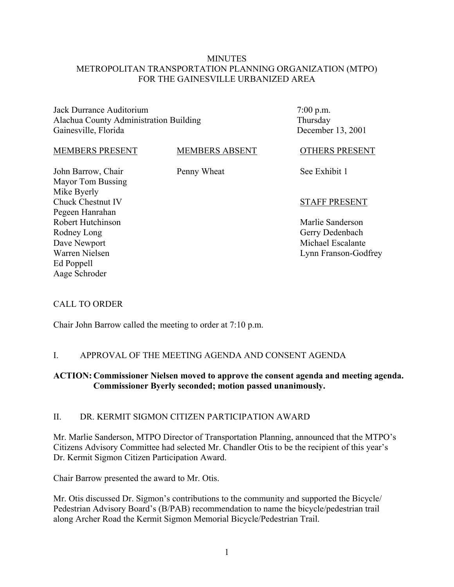### **MINUTES** METROPOLITAN TRANSPORTATION PLANNING ORGANIZATION (MTPO) FOR THE GAINESVILLE URBANIZED AREA

Jack Durrance Auditorium Alachua County Administration Building Gainesville, Florida

7:00 p.m. Thursday December 13, 2001

OTHERS PRESENT

#### MEMBERS PRESENT

#### MEMBERS ABSENT

Penny Wheat

John Barrow, Chair Mayor Tom Bussing Mike Byerly Chuck Chestnut IV Pegeen Hanrahan Robert Hutchinson Rodney Long Dave Newport Warren Nielsen Ed Poppell Aage Schroder

See Exhibit 1

#### STAFF PRESENT

Marlie Sanderson Gerry Dedenbach Michael Escalante Lynn Franson-Godfrey

### CALL TO ORDER

Chair John Barrow called the meeting to order at 7:10 p.m.

### I. APPROVAL OF THE MEETING AGENDA AND CONSENT AGENDA

### **ACTION: Commissioner Nielsen moved to approve the consent agenda and meeting agenda. Commissioner Byerly seconded; motion passed unanimously.**

#### II. DR. KERMIT SIGMON CITIZEN PARTICIPATION AWARD

Mr. Marlie Sanderson, MTPO Director of Transportation Planning, announced that the MTPO's Citizens Advisory Committee had selected Mr. Chandler Otis to be the recipient of this year's Dr. Kermit Sigmon Citizen Participation Award.

Chair Barrow presented the award to Mr. Otis.

Mr. Otis discussed Dr. Sigmon's contributions to the community and supported the Bicycle/ Pedestrian Advisory Board's (B/PAB) recommendation to name the bicycle/pedestrian trail along Archer Road the Kermit Sigmon Memorial Bicycle/Pedestrian Trail.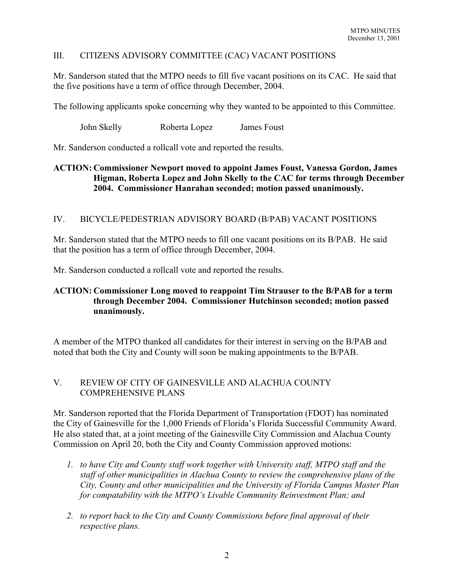# III. CITIZENS ADVISORY COMMITTEE (CAC) VACANT POSITIONS

Mr. Sanderson stated that the MTPO needs to fill five vacant positions on its CAC. He said that the five positions have a term of office through December, 2004.

The following applicants spoke concerning why they wanted to be appointed to this Committee.

John Skelly Roberta Lopez James Foust

Mr. Sanderson conducted a rollcall vote and reported the results.

## **ACTION: Commissioner Newport moved to appoint James Foust, Vanessa Gordon, James Higman, Roberta Lopez and John Skelly to the CAC for terms through December 2004. Commissioner Hanrahan seconded; motion passed unanimously.**

### IV. BICYCLE/PEDESTRIAN ADVISORY BOARD (B/PAB) VACANT POSITIONS

Mr. Sanderson stated that the MTPO needs to fill one vacant positions on its B/PAB. He said that the position has a term of office through December, 2004.

Mr. Sanderson conducted a rollcall vote and reported the results.

# **ACTION: Commissioner Long moved to reappoint Tim Strauser to the B/PAB for a term through December 2004. Commissioner Hutchinson seconded; motion passed unanimously.**

A member of the MTPO thanked all candidates for their interest in serving on the B/PAB and noted that both the City and County will soon be making appointments to the B/PAB.

# V. REVIEW OF CITY OF GAINESVILLE AND ALACHUA COUNTY COMPREHENSIVE PLANS

Mr. Sanderson reported that the Florida Department of Transportation (FDOT) has nominated the City of Gainesville for the 1,000 Friends of Florida's Florida Successful Community Award. He also stated that, at a joint meeting of the Gainesville City Commission and Alachua County Commission on April 20, both the City and County Commission approved motions:

- *1. to have City and County staff work together with University staff, MTPO staff and the staff of other municipalities in Alachua County to review the comprehensive plans of the City, County and other municipalities and the University of Florida Campus Master Plan for compatability with the MTPO's Livable Community Reinvestment Plan; and*
- *2. to report back to the City and County Commissions before final approval of their respective plans.*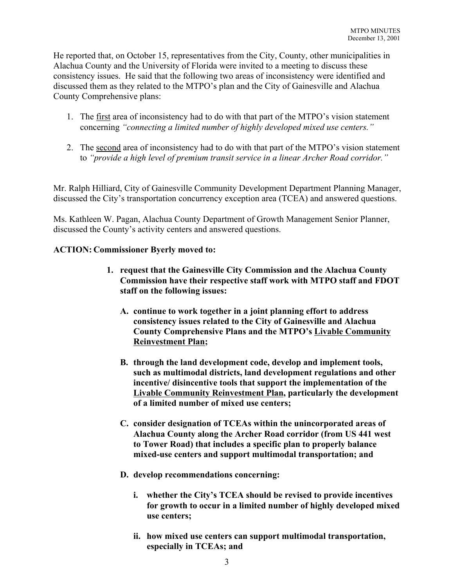He reported that, on October 15, representatives from the City, County, other municipalities in Alachua County and the University of Florida were invited to a meeting to discuss these consistency issues. He said that the following two areas of inconsistency were identified and discussed them as they related to the MTPO's plan and the City of Gainesville and Alachua County Comprehensive plans:

- 1. The first area of inconsistency had to do with that part of the MTPO's vision statement concerning *"connecting a limited number of highly developed mixed use centers."*
- 2. The second area of inconsistency had to do with that part of the MTPO's vision statement to *"provide a high level of premium transit service in a linear Archer Road corridor."*

Mr. Ralph Hilliard, City of Gainesville Community Development Department Planning Manager, discussed the City's transportation concurrency exception area (TCEA) and answered questions.

Ms. Kathleen W. Pagan, Alachua County Department of Growth Management Senior Planner, discussed the County's activity centers and answered questions.

# **ACTION: Commissioner Byerly moved to:**

- **1. request that the Gainesville City Commission and the Alachua County Commission have their respective staff work with MTPO staff and FDOT staff on the following issues:** 
	- **A. continue to work together in a joint planning effort to address consistency issues related to the City of Gainesville and Alachua County Comprehensive Plans and the MTPO's Livable Community Reinvestment Plan;**
	- **B. through the land development code, develop and implement tools, such as multimodal districts, land development regulations and other incentive/ disincentive tools that support the implementation of the Livable Community Reinvestment Plan, particularly the development of a limited number of mixed use centers;**
	- **C. consider designation of TCEAs within the unincorporated areas of Alachua County along the Archer Road corridor (from US 441 west to Tower Road) that includes a specific plan to properly balance mixed-use centers and support multimodal transportation; and**
	- **D. develop recommendations concerning:** 
		- **i. whether the City's TCEA should be revised to provide incentives for growth to occur in a limited number of highly developed mixed use centers;**
		- **ii. how mixed use centers can support multimodal transportation, especially in TCEAs; and**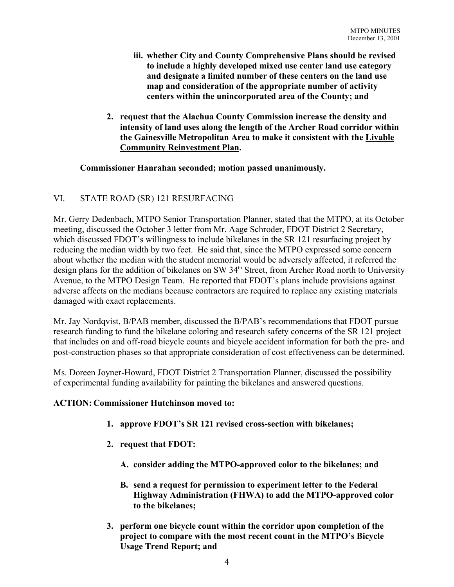- **iii. whether City and County Comprehensive Plans should be revised to include a highly developed mixed use center land use category and designate a limited number of these centers on the land use map and consideration of the appropriate number of activity centers within the unincorporated area of the County; and**
- **2. request that the Alachua County Commission increase the density and intensity of land uses along the length of the Archer Road corridor within the Gainesville Metropolitan Area to make it consistent with the Livable Community Reinvestment Plan.**

### **Commissioner Hanrahan seconded; motion passed unanimously.**

# VI. STATE ROAD (SR) 121 RESURFACING

Mr. Gerry Dedenbach, MTPO Senior Transportation Planner, stated that the MTPO, at its October meeting, discussed the October 3 letter from Mr. Aage Schroder, FDOT District 2 Secretary, which discussed FDOT's willingness to include bikelanes in the SR 121 resurfacing project by reducing the median width by two feet. He said that, since the MTPO expressed some concern about whether the median with the student memorial would be adversely affected, it referred the design plans for the addition of bikelanes on SW 34<sup>th</sup> Street, from Archer Road north to University Avenue, to the MTPO Design Team. He reported that FDOT's plans include provisions against adverse affects on the medians because contractors are required to replace any existing materials damaged with exact replacements.

Mr. Jay Nordqvist, B/PAB member, discussed the B/PAB's recommendations that FDOT pursue research funding to fund the bikelane coloring and research safety concerns of the SR 121 project that includes on and off-road bicycle counts and bicycle accident information for both the pre- and post-construction phases so that appropriate consideration of cost effectiveness can be determined.

Ms. Doreen Joyner-Howard, FDOT District 2 Transportation Planner, discussed the possibility of experimental funding availability for painting the bikelanes and answered questions.

# **ACTION: Commissioner Hutchinson moved to:**

- **1. approve FDOT's SR 121 revised cross-section with bikelanes;**
- **2. request that FDOT:**
	- **A. consider adding the MTPO-approved color to the bikelanes; and**
	- **B. send a request for permission to experiment letter to the Federal Highway Administration (FHWA) to add the MTPO-approved color to the bikelanes;**
- **3. perform one bicycle count within the corridor upon completion of the project to compare with the most recent count in the MTPO's Bicycle Usage Trend Report; and**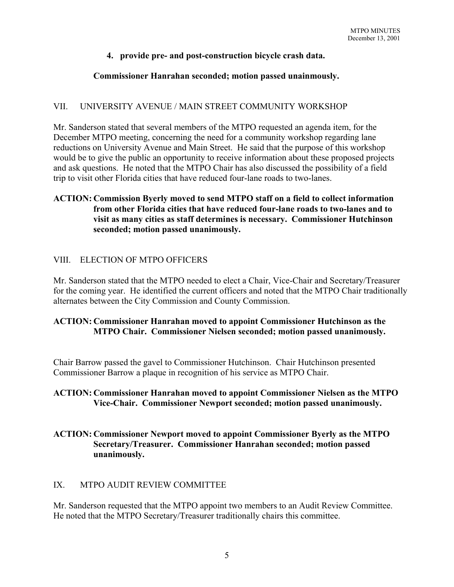## **4. provide pre- and post-construction bicycle crash data.**

### **Commissioner Hanrahan seconded; motion passed unainmously.**

### VII. UNIVERSITY AVENUE / MAIN STREET COMMUNITY WORKSHOP

Mr. Sanderson stated that several members of the MTPO requested an agenda item, for the December MTPO meeting, concerning the need for a community workshop regarding lane reductions on University Avenue and Main Street. He said that the purpose of this workshop would be to give the public an opportunity to receive information about these proposed projects and ask questions. He noted that the MTPO Chair has also discussed the possibility of a field trip to visit other Florida cities that have reduced four-lane roads to two-lanes.

### **ACTION: Commission Byerly moved to send MTPO staff on a field to collect information from other Florida cities that have reduced four-lane roads to two-lanes and to visit as many cities as staff determines is necessary. Commissioner Hutchinson seconded; motion passed unanimously.**

### VIII. ELECTION OF MTPO OFFICERS

Mr. Sanderson stated that the MTPO needed to elect a Chair, Vice-Chair and Secretary/Treasurer for the coming year. He identified the current officers and noted that the MTPO Chair traditionally alternates between the City Commission and County Commission.

# **ACTION: Commissioner Hanrahan moved to appoint Commissioner Hutchinson as the MTPO Chair. Commissioner Nielsen seconded; motion passed unanimously.**

Chair Barrow passed the gavel to Commissioner Hutchinson. Chair Hutchinson presented Commissioner Barrow a plaque in recognition of his service as MTPO Chair.

### **ACTION: Commissioner Hanrahan moved to appoint Commissioner Nielsen as the MTPO Vice-Chair. Commissioner Newport seconded; motion passed unanimously.**

# **ACTION: Commissioner Newport moved to appoint Commissioner Byerly as the MTPO Secretary/Treasurer. Commissioner Hanrahan seconded; motion passed unanimously.**

# IX. MTPO AUDIT REVIEW COMMITTEE

Mr. Sanderson requested that the MTPO appoint two members to an Audit Review Committee. He noted that the MTPO Secretary/Treasurer traditionally chairs this committee.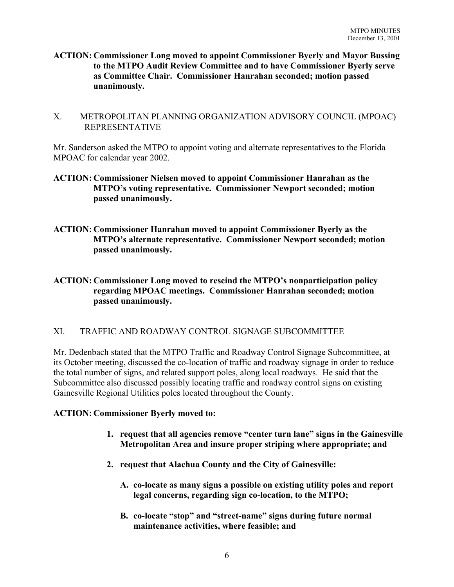- **ACTION: Commissioner Long moved to appoint Commissioner Byerly and Mayor Bussing to the MTPO Audit Review Committee and to have Commissioner Byerly serve as Committee Chair. Commissioner Hanrahan seconded; motion passed unanimously.**
- X. METROPOLITAN PLANNING ORGANIZATION ADVISORY COUNCIL (MPOAC) REPRESENTATIVE

Mr. Sanderson asked the MTPO to appoint voting and alternate representatives to the Florida MPOAC for calendar year 2002.

- **ACTION: Commissioner Nielsen moved to appoint Commissioner Hanrahan as the MTPO's voting representative. Commissioner Newport seconded; motion passed unanimously.**
- **ACTION: Commissioner Hanrahan moved to appoint Commissioner Byerly as the MTPO's alternate representative. Commissioner Newport seconded; motion passed unanimously.**

**ACTION: Commissioner Long moved to rescind the MTPO's nonparticipation policy regarding MPOAC meetings. Commissioner Hanrahan seconded; motion passed unanimously.**

# XI. TRAFFIC AND ROADWAY CONTROL SIGNAGE SUBCOMMITTEE

Mr. Dedenbach stated that the MTPO Traffic and Roadway Control Signage Subcommittee, at its October meeting, discussed the co-location of traffic and roadway signage in order to reduce the total number of signs, and related support poles, along local roadways. He said that the Subcommittee also discussed possibly locating traffic and roadway control signs on existing Gainesville Regional Utilities poles located throughout the County.

### **ACTION: Commissioner Byerly moved to:**

- **1. request that all agencies remove "center turn lane" signs in the Gainesville Metropolitan Area and insure proper striping where appropriate; and**
- **2. request that Alachua County and the City of Gainesville:**
	- **A. co-locate as many signs a possible on existing utility poles and report legal concerns, regarding sign co-location, to the MTPO;**
	- **B. co-locate "stop" and "street-name" signs during future normal maintenance activities, where feasible; and**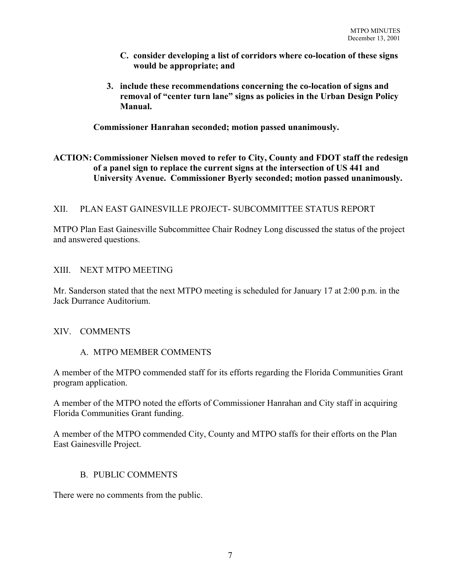- **C. consider developing a list of corridors where co-location of these signs would be appropriate; and**
- **3. include these recommendations concerning the co-location of signs and removal of "center turn lane" signs as policies in the Urban Design Policy Manual.**

**Commissioner Hanrahan seconded; motion passed unanimously.**

# **ACTION: Commissioner Nielsen moved to refer to City, County and FDOT staff the redesign of a panel sign to replace the current signs at the intersection of US 441 and University Avenue. Commissioner Byerly seconded; motion passed unanimously.**

# XII. PLAN EAST GAINESVILLE PROJECT- SUBCOMMITTEE STATUS REPORT

MTPO Plan East Gainesville Subcommittee Chair Rodney Long discussed the status of the project and answered questions.

### XIII. NEXT MTPO MEETING

Mr. Sanderson stated that the next MTPO meeting is scheduled for January 17 at 2:00 p.m. in the Jack Durrance Auditorium.

### XIV. COMMENTS

# A. MTPO MEMBER COMMENTS

A member of the MTPO commended staff for its efforts regarding the Florida Communities Grant program application.

A member of the MTPO noted the efforts of Commissioner Hanrahan and City staff in acquiring Florida Communities Grant funding.

A member of the MTPO commended City, County and MTPO staffs for their efforts on the Plan East Gainesville Project.

### B. PUBLIC COMMENTS

There were no comments from the public.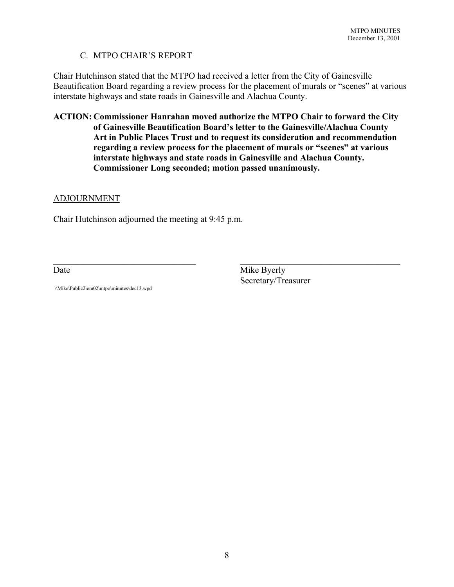# C. MTPO CHAIR'S REPORT

Chair Hutchinson stated that the MTPO had received a letter from the City of Gainesville Beautification Board regarding a review process for the placement of murals or "scenes" at various interstate highways and state roads in Gainesville and Alachua County.

**ACTION: Commissioner Hanrahan moved authorize the MTPO Chair to forward the City of Gainesville Beautification Board's letter to the Gainesville/Alachua County Art in Public Places Trust and to request its consideration and recommendation regarding a review process for the placement of murals or "scenes" at various interstate highways and state roads in Gainesville and Alachua County. Commissioner Long seconded; motion passed unanimously.**

 $\mathcal{L}_\text{max}$  , and the contribution of the contribution of the contribution of the contribution of the contribution of the contribution of the contribution of the contribution of the contribution of the contribution of t

#### ADJOURNMENT

Chair Hutchinson adjourned the meeting at 9:45 p.m.

Date Mike Byerly Secretary/Treasurer

\\Mike\Public2\em02\mtpo\minutes\dec13.wpd